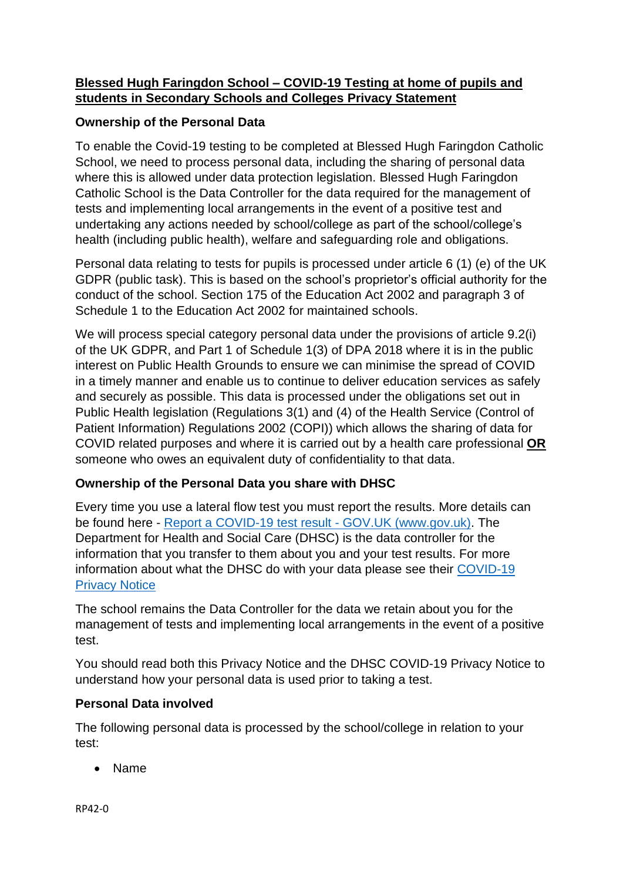# **Blessed Hugh Faringdon School – COVID-19 Testing at home of pupils and students in Secondary Schools and Colleges Privacy Statement**

# **Ownership of the Personal Data**

To enable the Covid-19 testing to be completed at Blessed Hugh Faringdon Catholic School, we need to process personal data, including the sharing of personal data where this is allowed under data protection legislation. Blessed Hugh Faringdon Catholic School is the Data Controller for the data required for the management of tests and implementing local arrangements in the event of a positive test and undertaking any actions needed by school/college as part of the school/college's health (including public health), welfare and safeguarding role and obligations.

Personal data relating to tests for pupils is processed under article 6 (1) (e) of the UK GDPR (public task). This is based on the school's proprietor's official authority for the conduct of the school. Section 175 of the Education Act 2002 and paragraph 3 of Schedule 1 to the Education Act 2002 for maintained schools.

We will process special category personal data under the provisions of article 9.2(i) of the UK GDPR, and Part 1 of Schedule 1(3) of DPA 2018 where it is in the public interest on Public Health Grounds to ensure we can minimise the spread of COVID in a timely manner and enable us to continue to deliver education services as safely and securely as possible. This data is processed under the obligations set out in Public Health legislation (Regulations 3(1) and (4) of the Health Service (Control of Patient Information) Regulations 2002 (COPI)) which allows the sharing of data for COVID related purposes and where it is carried out by a health care professional **OR** someone who owes an equivalent duty of confidentiality to that data.

### **Ownership of the Personal Data you share with DHSC**

Every time you use a lateral flow test you must report the results. More details can be found here - [Report a COVID-19 test result -](https://www.gov.uk/report-covid19-result) GOV.UK (www.gov.uk). The Department for Health and Social Care (DHSC) is the data controller for the information that you transfer to them about you and your test results. For more information about what the DHSC do with your data please see their [COVID-19](https://www.gov.uk/government/publications/coronavirus-covid-19-testing-privacy-information)  [Privacy Notice](https://www.gov.uk/government/publications/coronavirus-covid-19-testing-privacy-information)

The school remains the Data Controller for the data we retain about you for the management of tests and implementing local arrangements in the event of a positive test.

You should read both this Privacy Notice and the DHSC COVID-19 Privacy Notice to understand how your personal data is used prior to taking a test.

### **Personal Data involved**

The following personal data is processed by the school/college in relation to your test:

• Name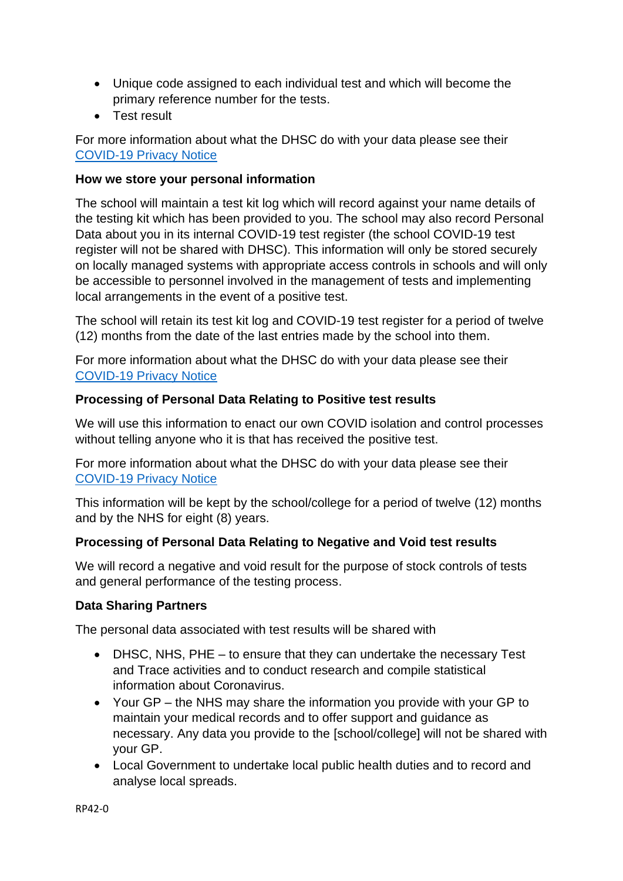- Unique code assigned to each individual test and which will become the primary reference number for the tests.
- Test result

For more information about what the DHSC do with your data please see their [COVID-19 Privacy Notice](https://www.gov.uk/government/publications/coronavirus-covid-19-testing-privacy-information)

#### **How we store your personal information**

The school will maintain a test kit log which will record against your name details of the testing kit which has been provided to you. The school may also record Personal Data about you in its internal COVID-19 test register (the school COVID-19 test register will not be shared with DHSC). This information will only be stored securely on locally managed systems with appropriate access controls in schools and will only be accessible to personnel involved in the management of tests and implementing local arrangements in the event of a positive test.

The school will retain its test kit log and COVID-19 test register for a period of twelve (12) months from the date of the last entries made by the school into them.

For more information about what the DHSC do with your data please see their [COVID-19 Privacy Notice](https://www.gov.uk/government/publications/coronavirus-covid-19-testing-privacy-information)

#### **Processing of Personal Data Relating to Positive test results**

We will use this information to enact our own COVID isolation and control processes without telling anyone who it is that has received the positive test.

For more information about what the DHSC do with your data please see their [COVID-19 Privacy Notice](https://www.gov.uk/government/publications/coronavirus-covid-19-testing-privacy-information)

This information will be kept by the school/college for a period of twelve (12) months and by the NHS for eight (8) years.

### **Processing of Personal Data Relating to Negative and Void test results**

We will record a negative and void result for the purpose of stock controls of tests and general performance of the testing process.

### **Data Sharing Partners**

The personal data associated with test results will be shared with

- DHSC, NHS, PHE to ensure that they can undertake the necessary Test and Trace activities and to conduct research and compile statistical information about Coronavirus.
- Your GP the NHS may share the information you provide with your GP to maintain your medical records and to offer support and guidance as necessary. Any data you provide to the [school/college] will not be shared with your GP.
- Local Government to undertake local public health duties and to record and analyse local spreads.